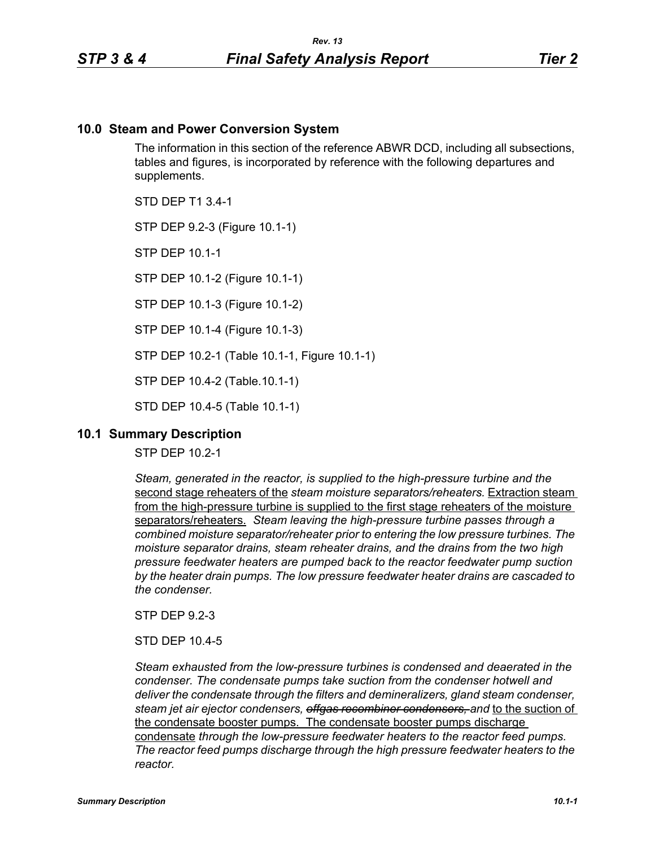# **10.0 Steam and Power Conversion System**

The information in this section of the reference ABWR DCD, including all subsections, tables and figures, is incorporated by reference with the following departures and supplements.

STD DEP T1 3.4-1

STP DEP 9.2-3 (Figure 10.1-1)

STP DEP 10.1-1

STP DEP 10.1-2 (Figure 10.1-1)

STP DEP 10.1-3 (Figure 10.1-2)

STP DEP 10.1-4 (Figure 10.1-3)

STP DEP 10.2-1 (Table 10.1-1, Figure 10.1-1)

STP DEP 10.4-2 (Table.10.1-1)

STD DEP 10.4-5 (Table 10.1-1)

### **10.1 Summary Description**

STP DEP 10.2-1

*Steam, generated in the reactor, is supplied to the high-pressure turbine and the*  second stage reheaters of the *steam moisture separators/reheaters.* Extraction steam from the high-pressure turbine is supplied to the first stage reheaters of the moisture separators/reheaters. *Steam leaving the high-pressure turbine passes through a combined moisture separator/reheater prior to entering the low pressure turbines. The moisture separator drains, steam reheater drains, and the drains from the two high pressure feedwater heaters are pumped back to the reactor feedwater pump suction by the heater drain pumps. The low pressure feedwater heater drains are cascaded to the condenser.*

STP DEP 9.2-3

STD DEP 10.4-5

*Steam exhausted from the low-pressure turbines is condensed and deaerated in the condenser. The condensate pumps take suction from the condenser hotwell and deliver the condensate through the filters and demineralizers, gland steam condenser, steam jet air ejector condensers, offgas recombiner condensers, and* to the suction of the condensate booster pumps. The condensate booster pumps discharge condensate *through the low-pressure feedwater heaters to the reactor feed pumps. The reactor feed pumps discharge through the high pressure feedwater heaters to the reactor.*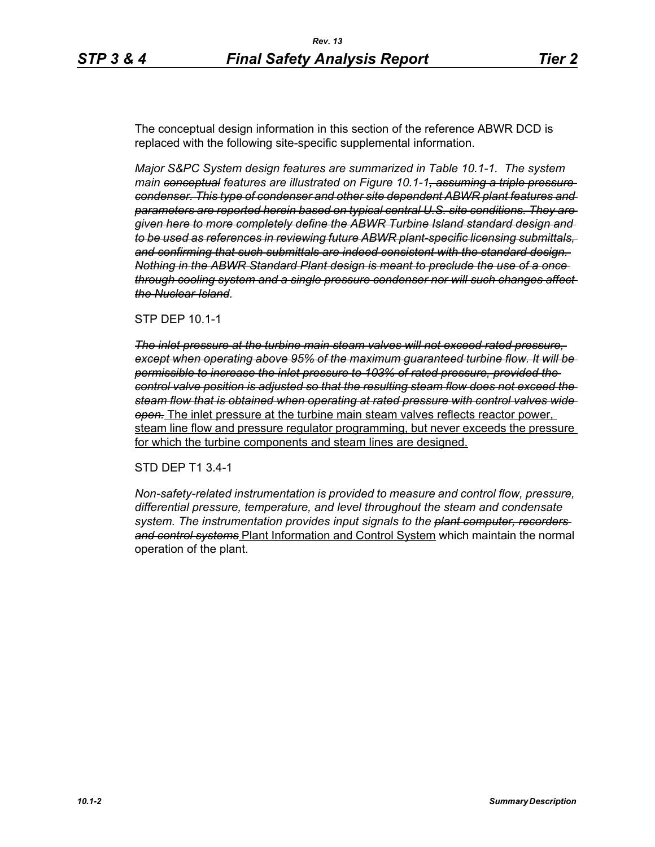The conceptual design information in this section of the reference ABWR DCD is replaced with the following site-specific supplemental information.

*Major S&PC System design features are summarized in Table 10.1-1. The system main conceptual features are illustrated on Figure 10.1-1, assuming a triple pressure condenser. This type of condenser and other site dependent ABWR plant features and parameters are reported herein based on typical central U.S. site conditions. They are given here to more completely define the ABWR Turbine Island standard design and to be used as references in reviewing future ABWR plant-specific licensing submittals, and confirming that such submittals are indeed consistent with the standard design. Nothing in the ABWR Standard Plant design is meant to preclude the use of a once through cooling system and a single pressure condenser nor will such changes affect the Nuclear Island.*

#### STP DEP 10.1-1

*The inlet pressure at the turbine main steam valves will not exceed rated pressure, except when operating above 95% of the maximum guaranteed turbine flow. It will be permissible to increase the inlet pressure to 103% of rated pressure, provided the control valve position is adjusted so that the resulting steam flow does not exceed the steam flow that is obtained when operating at rated pressure with control valves wide open.* The inlet pressure at the turbine main steam valves reflects reactor power, steam line flow and pressure regulator programming, but never exceeds the pressure for which the turbine components and steam lines are designed.

#### STD DEP T1 3.4-1

*Non-safety-related instrumentation is provided to measure and control flow, pressure, differential pressure, temperature, and level throughout the steam and condensate system. The instrumentation provides input signals to the plant computer, recorders and control systems* Plant Information and Control System which maintain the normal operation of the plant.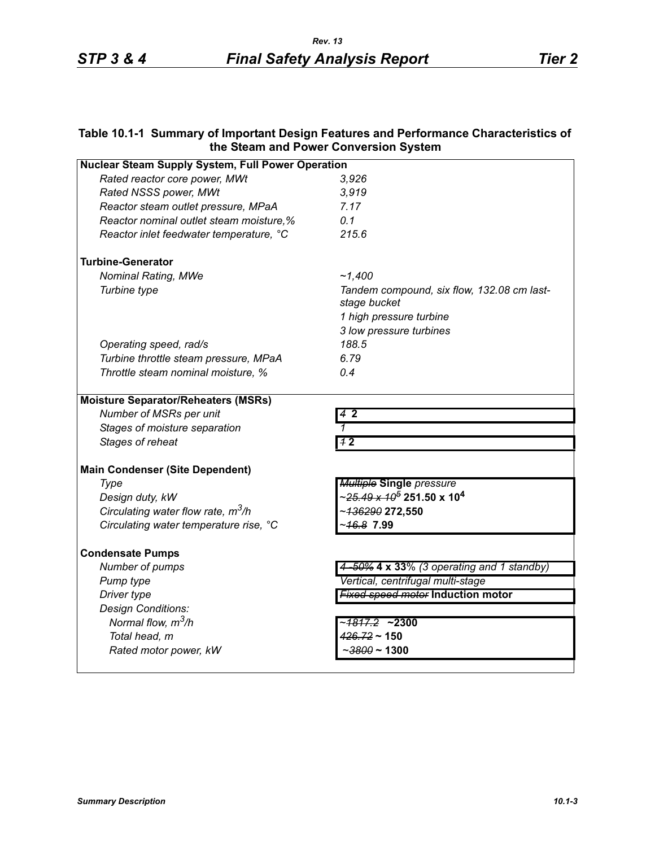| ×<br>۰, |  |
|---------|--|
|---------|--|

# **Table 10.1-1 Summary of Important Design Features and Performance Characteristics of the Steam and Power Conversion System**

| <b>Nuclear Steam Supply System, Full Power Operation</b> |                                                              |  |
|----------------------------------------------------------|--------------------------------------------------------------|--|
| Rated reactor core power, MWt                            | 3,926                                                        |  |
| Rated NSSS power, MWt                                    | 3,919                                                        |  |
| Reactor steam outlet pressure, MPaA                      | 7.17                                                         |  |
| Reactor nominal outlet steam moisture,%                  | 0.1                                                          |  |
| Reactor inlet feedwater temperature, °C                  | 215.6                                                        |  |
| <b>Turbine-Generator</b>                                 |                                                              |  |
| <b>Nominal Rating, MWe</b>                               | ~1,400                                                       |  |
| Turbine type                                             | Tandem compound, six flow, 132.08 cm last-<br>stage bucket   |  |
|                                                          | 1 high pressure turbine                                      |  |
|                                                          | 3 low pressure turbines                                      |  |
| Operating speed, rad/s                                   | 188.5                                                        |  |
| Turbine throttle steam pressure, MPaA                    | 6.79                                                         |  |
| Throttle steam nominal moisture, %                       | 0.4                                                          |  |
| <b>Moisture Separator/Reheaters (MSRs)</b>               |                                                              |  |
| Number of MSRs per unit                                  | $\overline{4}$ 2                                             |  |
| Stages of moisture separation                            |                                                              |  |
| Stages of reheat                                         | 72                                                           |  |
| <b>Main Condenser (Site Dependent)</b>                   |                                                              |  |
| Type                                                     | <b>Multiple Single pressure</b>                              |  |
| Design duty, kW                                          | ~ <del>25.49 x 10<sup>5</sup></del> 251.50 x 10 <sup>4</sup> |  |
| Circulating water flow rate, $m^3/h$                     | ~136290 272,550                                              |  |
| Circulating water temperature rise, °C                   | ~ <del>16.8</del> 7.99                                       |  |
| <b>Condensate Pumps</b>                                  |                                                              |  |
| Number of pumps                                          | 4-50% 4 x 33% (3 operating and 1 standby)                    |  |
| Pump type                                                | Vertical, centrifugal multi-stage                            |  |
| Driver type                                              | <b>Fixed speed motor Induction motor</b>                     |  |
| Design Conditions:                                       |                                                              |  |
| Normal flow, $m^3/h$                                     | ~ <del>1817.2</del> ~2300                                    |  |
| Total head, m                                            | $426.72 \sim 150$                                            |  |
| Rated motor power, kW                                    | ~ <del>3800</del> ~ 1300                                     |  |
|                                                          |                                                              |  |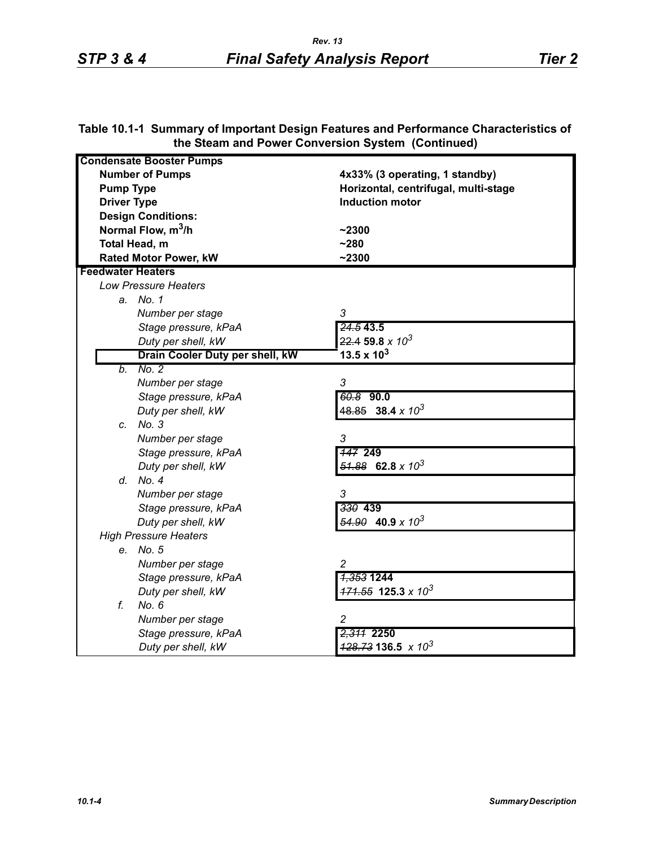| the Steam and Power Conversion System (Continued) |                                           |  |
|---------------------------------------------------|-------------------------------------------|--|
| <b>Condensate Booster Pumps</b>                   |                                           |  |
| <b>Number of Pumps</b>                            | 4x33% (3 operating, 1 standby)            |  |
| <b>Pump Type</b>                                  | Horizontal, centrifugal, multi-stage      |  |
| <b>Driver Type</b>                                | <b>Induction motor</b>                    |  |
| <b>Design Conditions:</b>                         |                                           |  |
| Normal Flow, m <sup>3</sup> /h                    | $-2300$                                   |  |
| Total Head, m                                     | $-280$                                    |  |
| <b>Rated Motor Power, kW</b>                      | $-2300$                                   |  |
| <b>Feedwater Heaters</b>                          |                                           |  |
| <b>Low Pressure Heaters</b>                       |                                           |  |
| a. No. 1                                          |                                           |  |
| Number per stage                                  | 3                                         |  |
| Stage pressure, kPaA                              | 24.543.5                                  |  |
| Duty per shell, kW                                | $22.4$ 59.8 x $10^3$                      |  |
| Drain Cooler Duty per shell, kW                   | 13.5 x $10^3$                             |  |
| No. 2<br>b.                                       |                                           |  |
| Number per stage                                  | 3                                         |  |
| Stage pressure, kPaA                              | $60.8$ 90.0                               |  |
| Duty per shell, kW                                | 48.85 38.4 $\times$ 10 <sup>3</sup>       |  |
| c. No. 3                                          |                                           |  |
| Number per stage                                  | 3                                         |  |
| Stage pressure, kPaA                              | 147 249                                   |  |
| Duty per shell, kW                                | $\frac{51.88}{2}$ 62.8 x 10 <sup>3</sup>  |  |
| $d.$ No. 4                                        |                                           |  |
| Number per stage                                  | 3                                         |  |
| Stage pressure, kPaA                              | 330 439                                   |  |
| Duty per shell, kW                                | $\frac{54.90}{2}$ 40.9 x 10 <sup>3</sup>  |  |
| <b>High Pressure Heaters</b>                      |                                           |  |
| e. No. 5                                          |                                           |  |
| Number per stage                                  | 2                                         |  |
| Stage pressure, kPaA                              | <del>1,353</del> 1244                     |  |
| Duty per shell, kW                                | $171.55$ 125.3 x 10 <sup>3</sup>          |  |
| No. 6<br>f.                                       |                                           |  |
| Number per stage                                  | 2                                         |  |
| Stage pressure, kPaA                              | 2,311 2250                                |  |
| Duty per shell, kW                                | <del>128.73</del> 136.5 x 10 <sup>3</sup> |  |

# **Table 10.1-1 Summary of Important Design Features and Performance Characteristics of**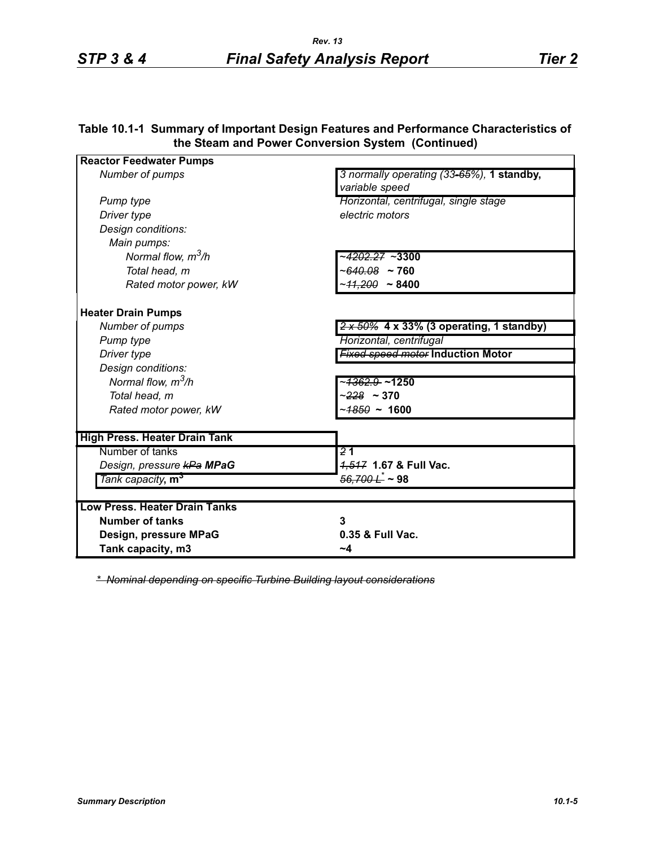| <b>Reactor Feedwater Pumps</b>       |                                                                        |
|--------------------------------------|------------------------------------------------------------------------|
| Number of pumps                      | 3 normally operating (33-65%), 1 standby,                              |
|                                      | variable speed                                                         |
| Pump type                            | Horizontal, centrifugal, single stage                                  |
| Driver type                          | electric motors                                                        |
| Design conditions:                   |                                                                        |
| Main pumps:                          |                                                                        |
| Normal flow, m <sup>3</sup> /h       | ~ <del>4202.27</del> ~3300                                             |
| Total head, m                        | ~640.08 ~ 760                                                          |
| Rated motor power, kW                | - <del>11,200</del> ~ 8400                                             |
| <b>Heater Drain Pumps</b>            |                                                                        |
| Number of pumps                      | $\frac{2 \times 50\%}{2 \times 50\%}$ 4 x 33% (3 operating, 1 standby) |
| Pump type                            | Horizontal, centrifugal                                                |
| Driver type                          | <b>Fixed speed motor Induction Motor</b>                               |
| Design conditions:                   |                                                                        |
| Normal flow, $m^3/h$                 | ~ <del>1362.9 </del> ~1250                                             |
| Total head, m                        | ~ <del>228</del> ~ 370                                                 |
| Rated motor power, kW                | ~ <del>1850</del> ~ 1600                                               |
| <b>High Press. Heater Drain Tank</b> |                                                                        |
| Number of tanks                      | $\overline{21}$                                                        |
| Design, pressure kPa MPaG            | 4,517 1.67 & Full Vac.                                                 |
| Tank capacity, m <sup>3</sup>        | $\frac{56,700 \hat{L}}{2}$ ~ 98                                        |
|                                      |                                                                        |
| <b>Low Press, Heater Drain Tanks</b> |                                                                        |
| <b>Number of tanks</b>               | 3                                                                      |
| Design, pressure MPaG                | 0.35 & Full Vac.                                                       |
| Tank capacity, m3                    | ~4                                                                     |

# **Table 10.1-1 Summary of Important Design Features and Performance Characteristics of the Steam and Power Conversion System (Continued)**

*\* Nominal depending on specific Turbine Building layout considerations*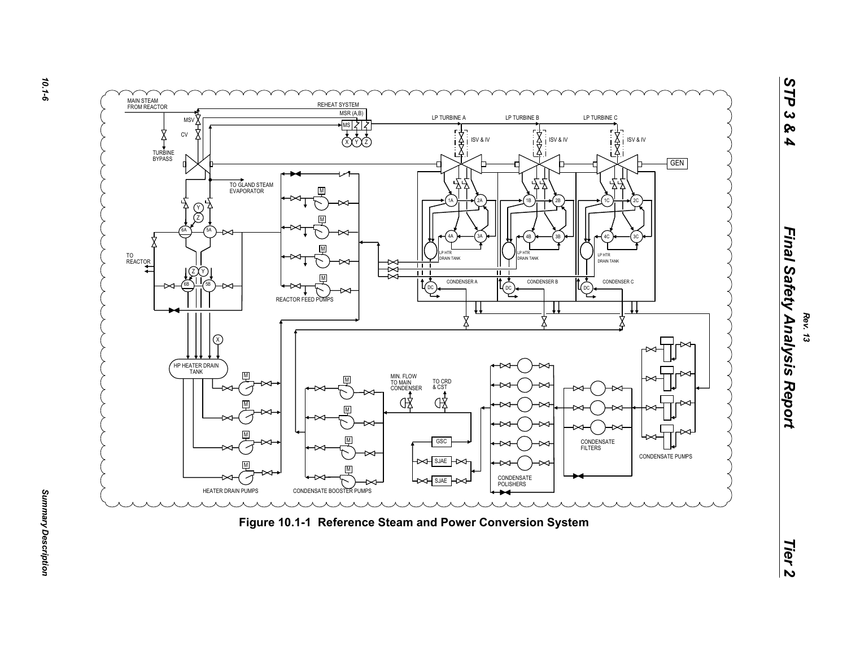